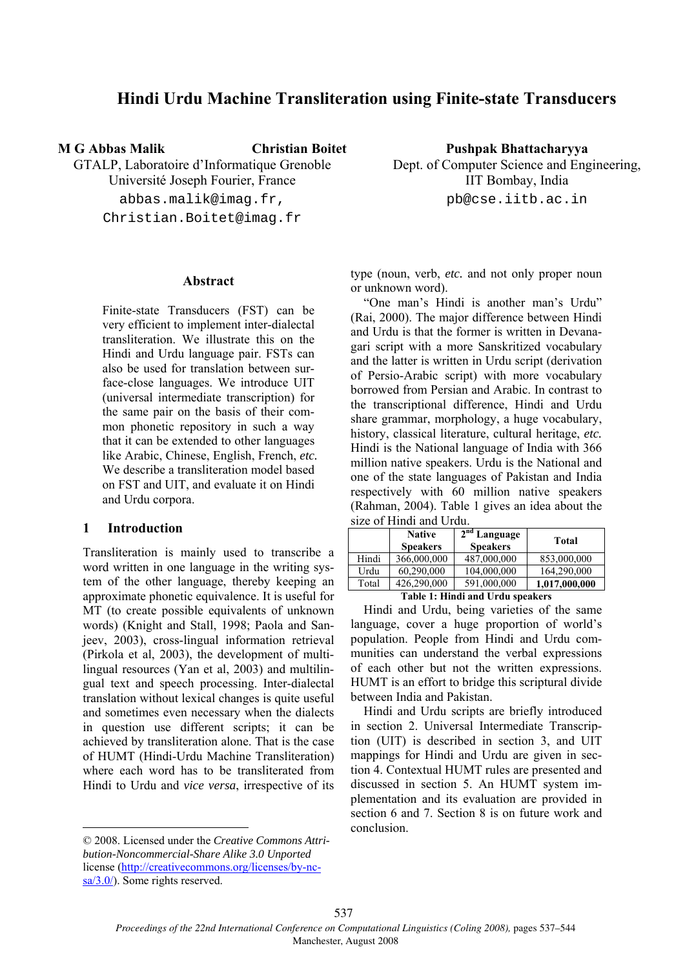# **Hindi Urdu Machine Transliteration using Finite-state Transducers**

**M G Abbas Malik Christian Boitet** 

GTALP, Laboratoire d'Informatique Grenoble Université Joseph Fourier, France abbas.malik@imag.fr, Christian.Boitet@imag.fr

### **Abstract**

Finite-state Transducers (FST) can be very efficient to implement inter-dialectal transliteration. We illustrate this on the Hindi and Urdu language pair. FSTs can also be used for translation between surface-close languages. We introduce UIT (universal intermediate transcription) for the same pair on the basis of their common phonetic repository in such a way that it can be extended to other languages like Arabic, Chinese, English, French, *etc.* We describe a transliteration model based on FST and UIT, and evaluate it on Hindi and Urdu corpora.

# **1 Introduction**

Transliteration is mainly used to transcribe a word written in one language in the writing system of the other language, thereby keeping an approximate phonetic equivalence. It is useful for MT (to create possible equivalents of unknown words) (Knight and Stall, 1998; Paola and Sanjeev, 2003), cross-lingual information retrieval (Pirkola et al, 2003), the development of multilingual resources (Yan et al, 2003) and multilingual text and speech processing. Inter-dialectal translation without lexical changes is quite useful and sometimes even necessary when the dialects in question use different scripts; it can be achieved by transliteration alone. That is the case of HUMT (Hindi-Urdu Machine Transliteration) where each word has to be transliterated from Hindi to Urdu and *vice versa*, irrespective of its

© 2008. Licensed under the *Creative Commons Attribution-Noncommercial-Share Alike 3.0 Unported* license (http://creativecommons.org/licenses/by-ncsa/3.0/). Some rights reserved.

**Pushpak Bhattacharyya**  Dept. of Computer Science and Engineering, IIT Bombay, India pb@cse.iitb.ac.in

type (noun, verb, *etc.* and not only proper noun or unknown word).

"One man's Hindi is another man's Urdu" (Rai, 2000). The major difference between Hindi and Urdu is that the former is written in Devanagari script with a more Sanskritized vocabulary and the latter is written in Urdu script (derivation of Persio-Arabic script) with more vocabulary borrowed from Persian and Arabic. In contrast to the transcriptional difference, Hindi and Urdu share grammar, morphology, a huge vocabulary, history, classical literature, cultural heritage, *etc.*  Hindi is the National language of India with 366 million native speakers. Urdu is the National and one of the state languages of Pakistan and India respectively with 60 million native speakers (Rahman, 2004). Table 1 gives an idea about the size of Hindi and Urdu.

|       | <b>Native</b><br><b>Speakers</b> | $2nd$ Language<br><b>Speakers</b> | <b>Total</b>  |
|-------|----------------------------------|-----------------------------------|---------------|
| Hindi | 366,000,000                      | 487,000,000                       | 853,000,000   |
| Urdu  | 60,290,000                       | 104,000,000                       | 164,290,000   |
| Total | 426,290,000                      | 591,000,000                       | 1,017,000,000 |

### **Table 1: Hindi and Urdu speakers**

Hindi and Urdu, being varieties of the same language, cover a huge proportion of world's population. People from Hindi and Urdu communities can understand the verbal expressions of each other but not the written expressions. HUMT is an effort to bridge this scriptural divide between India and Pakistan.

Hindi and Urdu scripts are briefly introduced in section 2. Universal Intermediate Transcription (UIT) is described in section 3, and UIT mappings for Hindi and Urdu are given in section 4. Contextual HUMT rules are presented and discussed in section 5. An HUMT system implementation and its evaluation are provided in section 6 and 7. Section 8 is on future work and conclusion.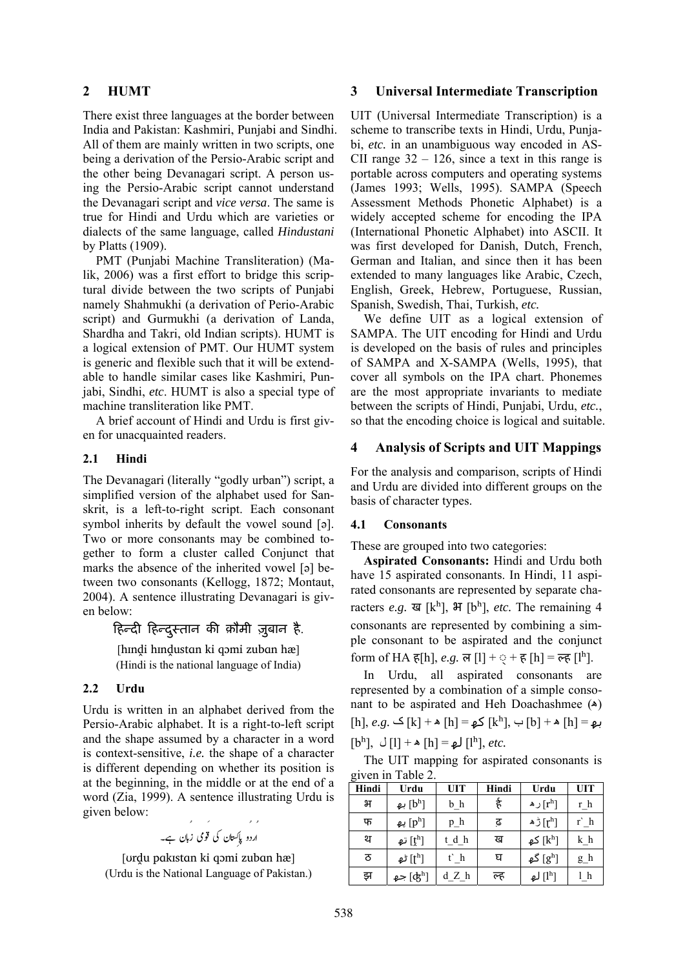# **2 HUMT**

There exist three languages at the border between India and Pakistan: Kashmiri, Punjabi and Sindhi. All of them are mainly written in two scripts, one being a derivation of the Persio-Arabic script and the other being Devanagari script. A person using the Persio-Arabic script cannot understand the Devanagari script and *vice versa*. The same is true for Hindi and Urdu which are varieties or dialects of the same language, called *Hindustani* by Platts (1909).

PMT (Punjabi Machine Transliteration) (Malik, 2006) was a first effort to bridge this scriptural divide between the two scripts of Punjabi namely Shahmukhi (a derivation of Perio-Arabic script) and Gurmukhi (a derivation of Landa, Shardha and Takri, old Indian scripts). HUMT is a logical extension of PMT. Our HUMT system is generic and flexible such that it will be extendable to handle similar cases like Kashmiri, Punjabi, Sindhi, *etc*. HUMT is also a special type of machine transliteration like PMT.

A brief account of Hindi and Urdu is first given for unacquainted readers.

### **2.1 Hindi**

The Devanagari (literally "godly urban") script, a simplified version of the alphabet used for Sanskrit, is a left-to-right script. Each consonant symbol inherits by default the vowel sound [ə]. Two or more consonants may be combined together to form a cluster called Conjunct that marks the absence of the inherited vowel [ə] between two consonants (Kellogg, 1872; Montaut, 2004). A sentence illustrating Devanagari is given below:

हिन्दी हिन्दुस्तान की क़ौमी ज़ुबान है.

[hɪndi hɪndustan ki qɔmi zuban hæ] (Hindi is the national language of India)

### **2.2 Urdu**

Urdu is written in an alphabet derived from the Persio-Arabic alphabet. It is a right-to-left script and the shape assumed by a character in a word is context-sensitive, *i.e.* the shape of a character is different depending on whether its position is at the beginning, in the middle or at the end of a word (Zia, 1999). A sentence illustrating Urdu is given below:

F ÌÐ y6Ð36G ¾6[6 zEegEZ Ð Xì y6[6Ei Ìòâ¯

[ʊrḓu pɑkɪstɑn ki qɔmi zubɑn hæ] (Urdu is the National Language of Pakistan.)

### **3 Universal Intermediate Transcription**

UIT (Universal Intermediate Transcription) is a scheme to transcribe texts in Hindi, Urdu, Punjabi, *etc.* in an unambiguous way encoded in AS-CII range  $32 - 126$ , since a text in this range is portable across computers and operating systems (James 1993; Wells, 1995). SAMPA (Speech Assessment Methods Phonetic Alphabet) is a widely accepted scheme for encoding the IPA (International Phonetic Alphabet) into ASCII. It was first developed for Danish, Dutch, French, German and Italian, and since then it has been extended to many languages like Arabic, Czech, English, Greek, Hebrew, Portuguese, Russian, Spanish, Swedish, Thai, Turkish, *etc.*

We define UIT as a logical extension of SAMPA. The UIT encoding for Hindi and Urdu is developed on the basis of rules and principles of SAMPA and X-SAMPA (Wells, 1995), that cover all symbols on the IPA chart. Phonemes are the most appropriate invariants to mediate between the scripts of Hindi, Punjabi, Urdu, *etc.*, so that the encoding choice is logical and suitable.

# **4 Analysis of Scripts and UIT Mappings**

For the analysis and comparison, scripts of Hindi and Urdu are divided into different groups on the basis of character types.

### **4.1 Consonants**

These are grouped into two categories:

**Aspirated Consonants:** Hindi and Urdu both have 15 aspirated consonants. In Hindi, 11 aspirated consonants are represented by separate characters *e.g.*  $\overline{\mathbf{g}}$  [k<sup>h</sup>],  $\overline{\mathbf{H}}$  [b<sup>h</sup>], *etc.* The remaining 4 consonants are represented by combining a simple consonant to be aspirated and the conjunct form of HA ह[h], *e.g.* ल [l] +  $\circ$  + ह [h] = ल्ह [l<sup>h</sup>].

In Urdu, all aspirated consonants are represented by a combination of a simple consonant to be aspirated and Heh Doachashmee ( $\triangle$ )  $[h], e.g. \subseteq [k] + [h]$  كه $[k] = [k^h], \cup [b] + [h]$  ك  $[b^h]$ ,  $\bigcup [l] + \infty [h] = \mathbf{L}$   $[l^h]$ , *etc.* 

The UIT mapping for aspirated consonants is given in Table 2.

| Hindi | Urdu                                    | <b>UIT</b> | Hindi | Urdu                             | UIT   |
|-------|-----------------------------------------|------------|-------|----------------------------------|-------|
| भ     | بھ $[b^h]$                              | $b_$ h     | है    | ر ه $\lceil r^{\text{h}} \rceil$ | $r_h$ |
| फ     | پھ $\left[\mathbf{p}^\mathrm{h}\right]$ | $p_h$      | ढ़    | [rʰ] رٌ <sup>م</sup>             | r`h   |
| थ     | [tʰ] تھ                                 | t d h      | ख     | [kʰ] کھ                          | $k_h$ |
| ਠ     | لمط [tʰ]                                | t`h        | घ     | گھ $[g^{\rm h}]$                 | g_h   |
| झ     | جھ $[$ ج $[$                            | d Z h      | ल्ह   | $[1^h]$ لو                       | $1_h$ |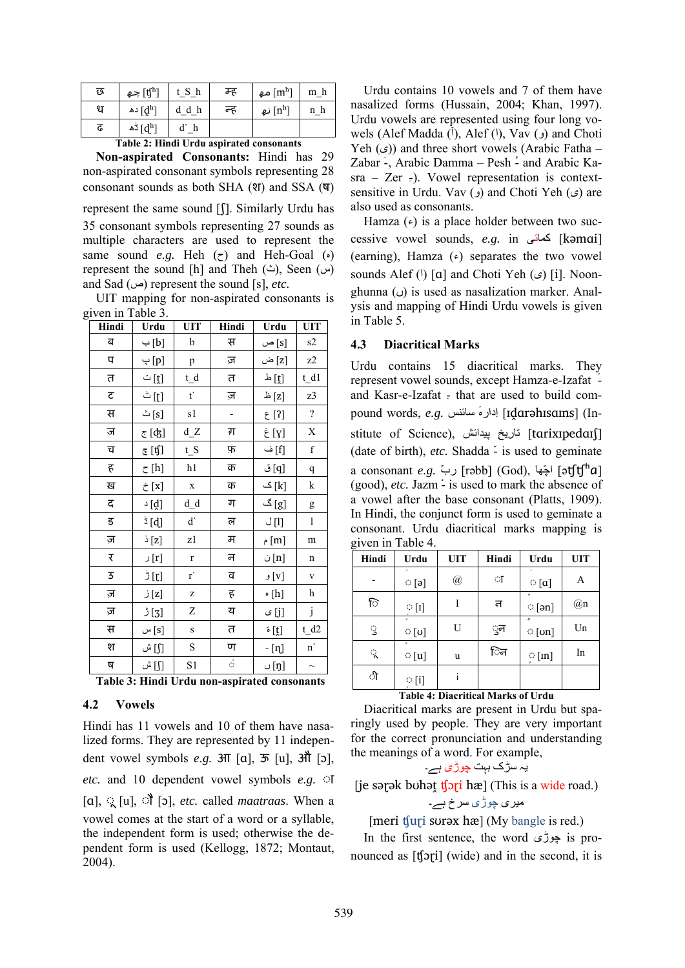| छ | جھ $[\mathfrak{t\mathfrak{f}}^h]$ |         | म्ह | مھ $[{\rm m^h}]$       | m h |
|---|-----------------------------------|---------|-----|------------------------|-----|
| ध | ده $[d^h]$                        | $d_d h$ | न्ह | نھ $[{\rm n}^{\rm h}]$ | n h |
| ढ | ڈھ $[d^h]$                        |         |     |                        |     |

**Table 2: Hindi Urdu aspirated consonants**

**Non-aspirated Consonants:** Hindi has 29 non-aspirated consonant symbols representing 28 consonant sounds as both SHA (श) and SSA  $(\nabla)$ 

represent the same sound [ʃ]. Similarly Urdu has 35 consonant symbols representing 27 sounds as multiple characters are used to represent the same sound *e.g.* Heh  $(\tau)$  and Heh-Goal  $(\cdot)$ represent the sound [h] and Theh ( $\triangle$ ), Seen (س) and Sad  $(\omega)$  represent the sound [s], *etc.* 

UIT mapping for non-aspirated consonants is given in Table 3.

| Hindi | Urdu              | UIT                  | Hindi                    | Urdu             | <b>UIT</b>     |
|-------|-------------------|----------------------|--------------------------|------------------|----------------|
| ब     | [b] ب             | b                    | स                        | [s] ص            | s2             |
| प     | [p] پ             | p                    | ज़                       | ض $[\mathbf{z}]$ | z2             |
| त     | [t̪] ت            | t_d                  | त                        | [t] ك            | t dl           |
| ट     | [t] ٹ             | $t^{\prime}$         | ज़                       | [z] ظ            | z3             |
| स     | [s] ث             | s1                   | $\overline{\phantom{a}}$ | [?] ع            | $\overline{?}$ |
| ज     | <u> ह</u> [ʤ]     | $d_Z$                | ग                        | [y] غ            | X              |
| च     | ह [t͡ʃ]           | $t_S$                | फ़                       | [f] ف            | $\mathbf f$    |
| ह     | $\zeta$ [h]       | h1                   | क़                       | [q] ف            | $\mathbf q$    |
| ख़    | [x] خ             | $\mathbf X$          | क                        | [k] ک            | k              |
| द     | $\Delta$ [d]      | d d                  | ग                        | [g] گ            | g              |
| ड     | $\frac{1}{2}$ [d] | $\mathbf{d}^{\cdot}$ | ल                        | [1] ل            | $\bf{l}$       |
| ज़    | [z] ذ             | z1                   | म                        | [m] م            | m              |
| ₹     | [r] ر             | $\mathbf r$          | न                        | [n] ن            | n              |
| 3     | ້ [ɲ]             | $r^{\prime}$         | व                        | [v] و            | $\mathbf V$    |
| ज़    | [z] ز             | Z                    | ह                        | $\circ$ [h]      | h              |
| ज़    | $\sqrt[3]{5}$     | Z                    | य                        | [j] ی            | $\mathbf{j}$   |
| स     | [s] س             | $\bf S$              | त                        | ة $[t]$          | t d2           |
| श     | [∫] ش             | $\mathbf S$          | ण                        | - [ทุ]           | $\mathbf{n}$   |
| ष     | [∫] ش             | S1                   | $\dot{\phi}$             | [ŋ] ں            | $\sim$         |

**Table 3: Hindi Urdu non-aspirated consonants**

## **4.2 Vowels**

Hindi has 11 vowels and 10 of them have nasalized forms. They are represented by 11 independent vowel symbols *e.g.* आ [ɑ], ऊ [u], औ [ɔ], *etc.* and 10 dependent vowel symbols *e.g.* ◌ा [ɑ], ◌ू [u], ◌ौ [ɔ], *etc.* called *maatraas*. When a vowel comes at the start of a word or a syllable, the independent form is used; otherwise the dependent form is used (Kellogg, 1872; Montaut, 2004).

Urdu contains 10 vowels and 7 of them have nasalized forms (Hussain, 2004; Khan, 1997). Urdu vowels are represented using four long vowels (Alef Madda  $(\tilde{I})$ , Alef  $(I)$ , Vav  $(g)$  and Choti Yeh  $(\epsilon)$ ) and three short vowels (Arabic Fatha – Zabar َ-, Arabic Damma – Pesh ُ- and Arabic Ka $sra - Zer$  =). Vowel representation is contextsensitive in Urdu. Vav (و) and Choti Yeh ( $\epsilon$ ) are also used as consonants.

Hamza  $(\epsilon)$  is a place holder between two successive vowel sounds, *e.g.* in کمائی] kəmɑi] (earning), Hamza  $(\epsilon)$  separates the two vowel sounds Alef ( $\theta$ ) [a] and Choti Yeh ( $\epsilon$ ) [i]. Noonghunna ( $\cup$ ) is used as nasalization marker. Analysis and mapping of Hindi Urdu vowels is given in Table 5.

### **4.3 Diacritical Marks**

Urdu contains 15 diacritical marks. They represent vowel sounds, except Hamza-e-Izafat ٔ and Kasr-e-Izafat  $\frac{1}{2}$  that are used to build compound words, *e.g.* سائنس ٔدارہِا] ɪḓɑrəhɪsɑɪns] (Institute of Science), تاريخِ پيدائش [tarixɪpedaɪʃ] (date of birth), *etc.* Shadda ّ- is used to geminate a consonant *e.g.* ّرب] rəbb] (God), هاّاچ] əʧʧʰɑ] (good), *etc.* Jazm - is used to mark the absence of a vowel after the base consonant (Platts, 1909). In Hindi, the conjunct form is used to geminate a consonant. Urdu diacritical marks mapping is given in Table 4.

| Hindi | Urdu             | <b>UIT</b>           | Hindi | Urdu         | <b>UIT</b> |
|-------|------------------|----------------------|-------|--------------|------------|
|       | $\circ$ [ə]      | $^{\textregistered}$ | ा     | $\circ$ [a]  | A          |
| ি     | $\circ$ [1]      |                      | न     | $\circ$ [ən] | @n         |
| ु     | $\circ$ [ʊ]      | U                    | ुन    | $\circ$ [on] | Un         |
| ू     | e<br>$\circ$ [u] | u                    | िन    | $\circ$ [m]  | In         |
| ी     | $\circ$ [i]      | i                    |       |              |            |

### **Table 4: Diacritical Marks of Urdu**

Diacritical marks are present in Urdu but sparingly used by people. They are very important for the correct pronunciation and understanding the meanings of a word. For example,

يہ سڑک بہت چوڑی ہے۔

[je sərək buhət  $f[\text{pri} \hbar \mathcal{E}]$  (This is a wide road.)

# ميری چوڑی سرخ ہے۔

# [meri tʃur̪i sʊrəx hæ] (My bangle is red.)

In the first sentence, the word چوڑی is pronounced as [ʧɔɽi] (wide) and in the second, it is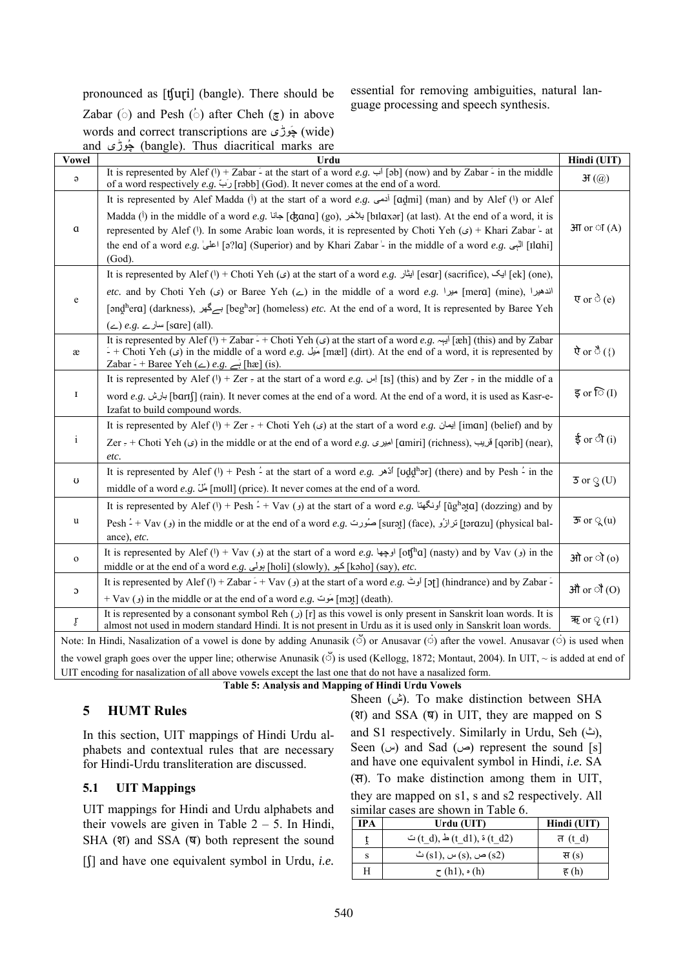pronounced as [ʧuɽi] (bangle). There should be

essential for removing ambiguities, natural language processing and speech synthesis.

Zabar ( $\circ$ ) and Pesh ( $\circ$ ) after Cheh ( $\circ$ ) in above words and correct transcriptions are وڑیَچ) wide) and وڑیُچ) bangle). Thus diacritical marks are

| <b>Vowel</b>  | Urdu                                                                                                                                                                                                                                                                                                                                      | Hindi (UIT)                         |
|---------------|-------------------------------------------------------------------------------------------------------------------------------------------------------------------------------------------------------------------------------------------------------------------------------------------------------------------------------------------|-------------------------------------|
| $\Theta$      | It is represented by Alef (1) + Zabar - at the start of a word $e.g.$ [ab] (now) and by Zabar - in the middle<br>of a word respectively e.g. (1) [rəbb] (God). It never comes at the end of a word.                                                                                                                                       | $\mathcal{H}(\mathcal{Q})$          |
|               | It is represented by Alef Madda (i) at the start of a word e.g. $\omega$ [admi] (man) and by Alef (!) or Alef                                                                                                                                                                                                                             |                                     |
|               | Madda (i) in the middle of a word $e.g.$ [ck] [dxana] (go), المَخْض [bɪlɑxər] (at last). At the end of a word, it is                                                                                                                                                                                                                      |                                     |
| $\mathfrak a$ | represented by Alef (!). In some Arabic loan words, it is represented by Choti Yeh ( $\epsilon$ ) + Khari Zabar - at                                                                                                                                                                                                                      | $3\pi$ or $\circ$ $I(A)$            |
|               | tlahi] اللبي .a. [12] s?la] (Superior) and by Khari Zabar - in the middle of a word e.g. [12] اعلى [12] [16] ا<br>(God).                                                                                                                                                                                                                  |                                     |
|               | It is represented by Alef (۱) + Choti Yeh (م) at the start of a word $e.g.$ این [esar] (sacrifice), ایک [ek] (one),                                                                                                                                                                                                                       |                                     |
|               | etc. and by Choti Yeh (2) or Baree Yeh (2) in the middle of a word e.g. $ $ and $ $ (mine), اندهیرا [mera] (mine), اندهیرا                                                                                                                                                                                                                |                                     |
| e             | [ənd̪ʰerɑ] (darkness), اسے گھر [begʰər] (homeless) etc. At the end of a word, It is represented by Baree Yeh                                                                                                                                                                                                                              | $\overline{v}$ or $\hat{\circ}$ (e) |
|               | $(\le)$ e.g. سارے [sare] (all).                                                                                                                                                                                                                                                                                                           |                                     |
| æ             | It is represented by Alef ( $\theta$ ) + Zabar - + Choti Yeh ( $\epsilon$ ) at the start of a word e.g. $\epsilon$ [xeh] (this) and by Zabar<br>- + Choti Yeh ( $\zeta$ ) in the middle of a word e.g. $\zeta$ [mæl] (dirt). At the end of a word, it is represented by<br>Zabar - + Baree Yeh ( $\angle$ ) e.g. $\rightarrow$ [hæ] (is). | ऐ or ै $(\{)$                       |
|               | It is represented by Alef (1) + Zer = at the start of a word e.g. $\left  \int$ [s] (this) and by Zer = in the middle of a                                                                                                                                                                                                                |                                     |
| 1             | word e.g. المرض [barɪʃ] (rain). It never comes at the end of a word. At the end of a word, it is used as Kasr-e-<br>Izafat to build compound words.                                                                                                                                                                                       | इ or $\widehat{\circ}$ (I)          |
|               | It is represented by Alef (1) + Zer $\epsilon$ + Choti Yeh (c) at the start of a word e.g. [Jiman] (belief) and by                                                                                                                                                                                                                        |                                     |
| $\mathbf{i}$  | Zer = + Choti Yeh (قریب , [qanit] (richness) اخیری . [emiri] (richness) اقریب (Zer = + Choti Yeh (ی) in the middle or at the end of a word ای<br>etc.                                                                                                                                                                                     | ई or ी $(i)$                        |
|               | It is represented by Alef (1) + Pesh - at the start of a word e.g. $\int$ [Uddh and by Pesh - in the                                                                                                                                                                                                                                      |                                     |
| $\mathbf U$   | middle of a word e.g. $\ddot{\omega}$ [mull] (price). It never comes at the end of a word.                                                                                                                                                                                                                                                | $\overline{5}$ or $\Im$ (U)         |
|               | It is represented by Alef (۱) + Pesh $\angle$ + Vav (ونگهتا ) at the start of a word e.g. [ighata] (dozzing) and by                                                                                                                                                                                                                       |                                     |
| u             | Pesh -́ + Vav (و) in the middle or at the end of a word e.g. صُورت [surət] (face), بَاتِ [tərɑzu] (physical bal-                                                                                                                                                                                                                          | $\overline{5}$ or $\mathbb{Q}(u)$   |
|               | ance), etc.                                                                                                                                                                                                                                                                                                                               |                                     |
| $\mathbf{o}$  | It is represented by Alef (1) + Vav (3) at the start of a word e.g. (وجها [6] (1) ofthal (nasty) and by Vav (3) in the                                                                                                                                                                                                                    | ओ or ो (o)                          |
|               | middle or at the end of a word e.g. إبولي [holi] (slowly), جبو [kəho] (say), etc.                                                                                                                                                                                                                                                         |                                     |
| C             | It is represented by Alef (1) + Zabar - + Vav (3) at the start of a word e.g. أوث [5] (hindrance) and by Zabar -                                                                                                                                                                                                                          | औ or ौ (O)                          |
|               | + Vav (و) in the middle or at the end of a word $e.g.$ [mɔt̪] (death).                                                                                                                                                                                                                                                                    |                                     |
| ŗ             | It is represented by a consonant symbol Reh $\left(\right)$ [r] as this vowel is only present in Sanskrit loan words. It is<br>almost not used in modern standard Hindi. It is not present in Urdu as it is used only in Sanskrit loan words.                                                                                             | ऋ or $\mathcal{L}(r1)$              |
|               | Note: In Hindi, Nasalization of a vowel is done by adding Anunasik ( $\ddot{\circ}$ ) or Anusavar ( $\dot{\circ}$ ) after the vowel. Anusavar ( $\ddot{\circ}$ ) is used when                                                                                                                                                             |                                     |
|               | the vowel graph goes over the upper line; otherwise Anunasik ( $\check{\circ}$ ) is used (Kellogg, 1872; Montaut, 2004). In UIT, $\sim$ is added at end of                                                                                                                                                                                |                                     |
|               | UIT encoding for nasalization of all above vowels except the last one that do not have a nasalized form.                                                                                                                                                                                                                                  |                                     |

**Table 5: Analysis and Mapping of Hindi Urdu Vowels**

# **5 HUMT Rules**

In this section, UIT mappings of Hindi Urdu alphabets and contextual rules that are necessary for Hindi-Urdu transliteration are discussed.

# **5.1 UIT Mappings**

UIT mappings for Hindi and Urdu alphabets and their vowels are given in Table  $2 - 5$ . In Hindi, SHA ( $\overline{q}$ ) and SSA ( $\overline{q}$ ) both represent the sound

[ʃ] and have one equivalent symbol in Urdu, *i.e.*

Sheen (ش). To make distinction between SHA (श) and SSA (ष) in UIT, they are mapped on S and S1 respectively. Similarly in Urdu, Seh  $($ <sup> $\dot{\mathsf{c}}$  $)$ ,</sup> Seen (س) and Sad (ص) represent the sound [s] and have one equivalent symbol in Hindi, *i.e.* SA (स). To make distinction among them in UIT,

they are mapped on s1, s and s2 respectively. All similar cases are shown in Table 6.

| IPA | Urdu (UIT)                                          | Hindi (UIT) |
|-----|-----------------------------------------------------|-------------|
|     | $\circ$ (t d), $\frac{1}{2}$ (t d1), $\circ$ (t d2) | त (t d)     |
| S   | ض (s), س $(s)$ (s), س $(s)$ (s2)                    | स $(s)$     |
| Н   | $\tau$ (h1), $\circ$ (h)                            | ह $(h)$     |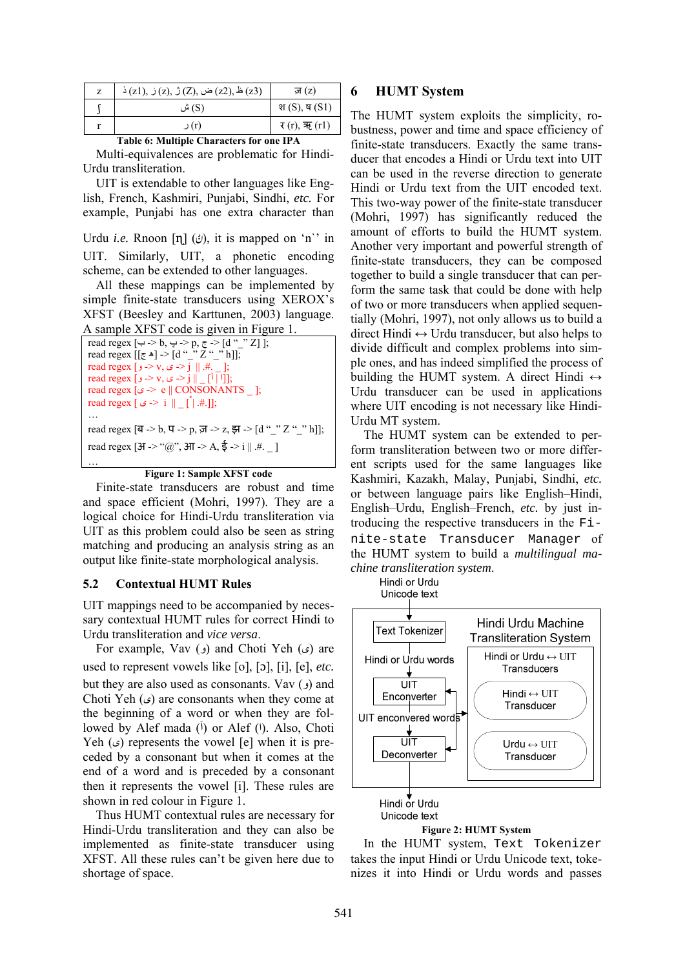| $\zeta$ (z2), $\zeta$ (z2), $\zeta$ (z2), $\zeta$ (z3) | ज़ $(z)$           |
|--------------------------------------------------------|--------------------|
| (S) ش                                                  | श $(S)$ , ष $(S1)$ |
| (r) ر                                                  | र (r), ऋ (r1)      |

**Table 6: Multiple Characters for one IPA**  Multi-equivalences are problematic for Hindi-Urdu transliteration.

UIT is extendable to other languages like English, French, Kashmiri, Punjabi, Sindhi, *etc.* For example, Punjabi has one extra character than

Urdu *i.e.* Rnoon  $\lceil \eta \rceil$  ( $\phi$ ), it is mapped on 'n'' in UIT. Similarly, UIT, a phonetic encoding scheme, can be extended to other languages.

All these mappings can be implemented by simple finite-state transducers using XEROX's XFST (Beesley and Karttunen, 2003) language. A sample XFST code is given in Figure 1.

| read regex [ $\leftrightarrow$ - $\leftrightarrow$ b, $\leftrightarrow$ -> p, $\approx$ -> [d " "Z]]; |
|-------------------------------------------------------------------------------------------------------|
| read regex $[ [ \pi \bullet ] > [ d \cdot ' ' Z \cdot ' ' h ] ]$ ;                                    |
| read regex [ $\rightarrow$ v, $\rightarrow$ $\rightarrow$ j    .#.  ;                                 |
| read regex [ $\rightarrow$ v, $\rightarrow$ -> j    [ <sup>1</sup> ];                                 |
| read regex [ $\circ$ > e    CONSONANTS  ;                                                             |
|                                                                                                       |
|                                                                                                       |
| read regex [ब -> b, प -> p, ज़ -> z, झ -> [d " " Z " " h]];                                           |
| read regex [ $3I > "@", 3II > A, \xi > i    H$ .                                                      |
|                                                                                                       |



Finite-state transducers are robust and time and space efficient (Mohri, 1997). They are a logical choice for Hindi-Urdu transliteration via UIT as this problem could also be seen as string matching and producing an analysis string as an output like finite-state morphological analysis.

### **5.2 Contextual HUMT Rules**

UIT mappings need to be accompanied by necessary contextual HUMT rules for correct Hindi to Urdu transliteration and *vice versa*.

For example, Vav  $(\ell)$  and Choti Yeh  $(\ell)$  are used to represent vowels like [o], [ɔ], [i], [e], *etc.* but they are also used as consonants. Vav  $\epsilon$ ) and Choti Yeh ( $\epsilon$ ) are consonants when they come at the beginning of a word or when they are followed by Alef mada  $(\tilde{I})$  or Alef  $(I)$ . Also, Choti Yeh  $(\circ)$  represents the vowel [e] when it is preceded by a consonant but when it comes at the end of a word and is preceded by a consonant then it represents the vowel [i]. These rules are shown in red colour in Figure 1.

Thus HUMT contextual rules are necessary for Hindi-Urdu transliteration and they can also be implemented as finite-state transducer using XFST. All these rules can't be given here due to shortage of space.

# **6 HUMT System**

The HUMT system exploits the simplicity, robustness, power and time and space efficiency of finite-state transducers. Exactly the same transducer that encodes a Hindi or Urdu text into UIT can be used in the reverse direction to generate Hindi or Urdu text from the UIT encoded text. This two-way power of the finite-state transducer (Mohri, 1997) has significantly reduced the amount of efforts to build the HUMT system. Another very important and powerful strength of finite-state transducers, they can be composed together to build a single transducer that can perform the same task that could be done with help of two or more transducers when applied sequentially (Mohri, 1997), not only allows us to build a direct Hindi  $\leftrightarrow$  Urdu transducer, but also helps to divide difficult and complex problems into simple ones, and has indeed simplified the process of building the HUMT system. A direct Hindi  $\leftrightarrow$ Urdu transducer can be used in applications where UIT encoding is not necessary like Hindi-Urdu MT system.

The HUMT system can be extended to perform transliteration between two or more different scripts used for the same languages like Kashmiri, Kazakh, Malay, Punjabi, Sindhi, *etc.* or between language pairs like English–Hindi, English–Urdu, English–French, *etc.* by just introducing the respective transducers in the Finite-state Transducer Manager of the HUMT system to build a *multilingual machine transliteration system*.

> Hindi or Urdu Unicode text





In the HUMT system, Text Tokenizer takes the input Hindi or Urdu Unicode text, tokenizes it into Hindi or Urdu words and passes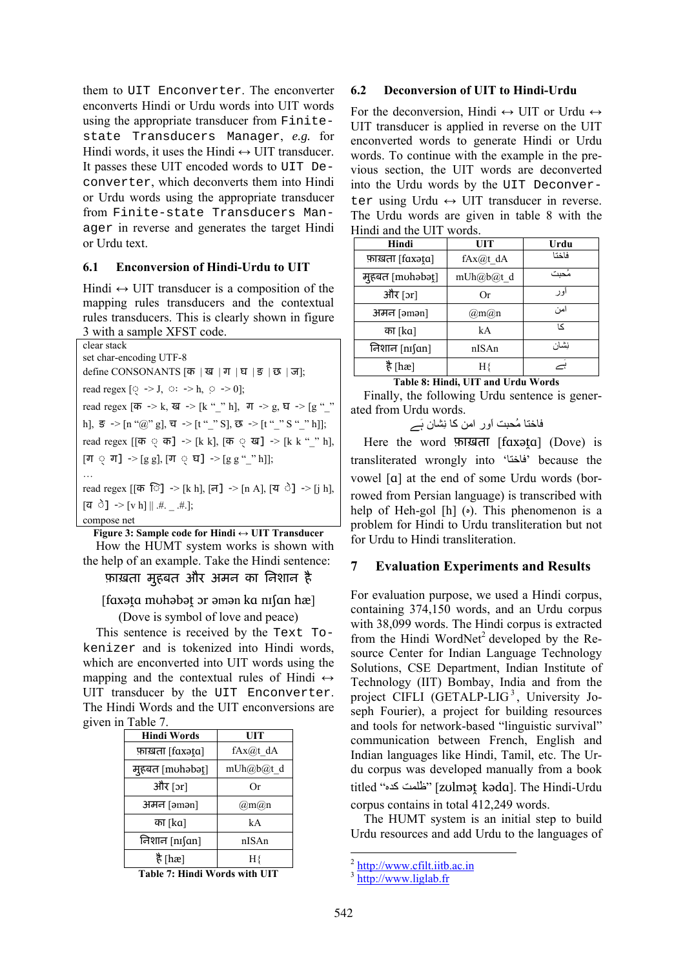them to UIT Enconverter. The enconverter enconverts Hindi or Urdu words into UIT words using the appropriate transducer from Finitestate Transducers Manager, *e.g.* for Hindi words, it uses the Hindi  $\leftrightarrow$  UIT transducer. It passes these UIT encoded words to UIT Deconverter, which deconverts them into Hindi or Urdu words using the appropriate transducer from Finite-state Transducers Manager in reverse and generates the target Hindi or Urdu text.

### **6.1 Enconversion of Hindi-Urdu to UIT**

Hindi  $\leftrightarrow$  UIT transducer is a composition of the mapping rules transducers and the contextual rules transducers. This is clearly shown in figure 3 with a sample XFST code.

| clear stack                                                                                                        |
|--------------------------------------------------------------------------------------------------------------------|
| set char-encoding UTF-8                                                                                            |
| define CONSONANTS $[\bar{\sigma}   \bar{u}   \bar{\pi}   \bar{u}   \bar{\tau}]$ $[\bar{\sigma}   \bar{\sigma}]$ ;  |
| read regex $[\mathbb{Q} \rightarrow J, \circ : \rightarrow h, \circ \rightarrow 0];$                               |
| read regex [क -> k, ख -> [k "_" h], ग -> g, घ -> [g "_"                                                            |
| h], $\overline{s}$ -> [n "@" g], $\overline{u}$ -> [t "_" S], $\overline{\mathfrak{B}}$ -> [t "_" S "_" h]];       |
| read regex [[क $\circ$ क] $\rightarrow$ [k k], [क $\circ$ ख] $\rightarrow$ [k k "_" h],                            |
| $[\mathbb{J} \circ \mathbb{J}]$ -> $[g g]$ , $[\mathbb{J} \circ \mathbb{J}]$ -> $[g g \circ \mathbb{J} \circ h]$ ; |
|                                                                                                                    |
| read regex [[क ि] $\rightarrow$ [k h], [न] $\rightarrow$ [n A], [य े] $\rightarrow$ [j h],                         |
| $[\vec{q} \; \vec{0}] \; \rightarrow [\vec{v} \; \vec{h}] \;    \; . \# . \;  \; . \# .]$ ;                        |
| compose net                                                                                                        |

**Figure 3: Sample code for Hindi ↔ UIT Transducer** 

How the HUMT system works is shown with the help of an example. Take the Hindi sentence:

# फ़ाख़ता मुहबत और अमन का िनशान है

[fɑxəṱɑ mʊhəbəṱ ɔr əmən kɑ nɪʃɑn hæ]

(Dove is symbol of love and peace)

This sentence is received by the Text Tokenizer and is tokenized into Hindi words, which are enconverted into UIT words using the mapping and the contextual rules of Hindi  $\leftrightarrow$ UIT transducer by the UIT Enconverter. The Hindi Words and the UIT enconversions are given in Table 7.

| <b>Hindi Words</b> | UIT             |
|--------------------|-----------------|
| फ़ाख़ता [faxət̪a]  | $fAx@t$ dA      |
| मुहबत [muhəbət̪]   | mUh@b@t_d       |
| और [ɔr]            | Оr              |
| अमन [əmən]         | $(a)$ m $(a)$ n |
| का [ka]            | kA              |
| निशान [nɪʃɑn]      | nISAn           |
| है [hæ]            | Нł              |
|                    |                 |

**Table 7: Hindi Words with UIT** 

#### **6.2 Deconversion of UIT to Hindi-Urdu**

For the deconversion, Hindi  $\leftrightarrow$  UIT or Urdu  $\leftrightarrow$ UIT transducer is applied in reverse on the UIT enconverted words to generate Hindi or Urdu words. To continue with the example in the previous section, the UIT words are deconverted into the Urdu words by the UIT Deconverter using Urdu  $\leftrightarrow$  UIT transducer in reverse. The Urdu words are given in table 8 with the Hindi and the UIT words.

| Hindi             | UIT       | Urdu   |
|-------------------|-----------|--------|
| फ़ाख़ता [faxət̪a] | fAx@t dA  | فاختا  |
| मुहबत [muhabat]   | mUh@b@t_d | مُحبت  |
| और [ɔr]           | 0r        | او ر   |
| अमन [əmən]        | @m@n      | امن    |
| का [ka]           | kA        | $\sim$ |
| निशान [nɪʃɑn]     | nISAn     | نشان   |
| है [hæ]           |           |        |

**Table 8: Hindi, UIT and Urdu Words** 

Finally, the following Urdu sentence is generated from Urdu words.

فاختا مُحبت اَور امن کا نِشان ہَے

Here the word फ़ाख़ता [faxata] (Dove) is transliterated wrongly into 'فاختا 'because the vowel [ɑ] at the end of some Urdu words (borrowed from Persian language) is transcribed with help of Heh-gol  $[h]$  ( $\circ$ ). This phenomenon is a problem for Hindi to Urdu transliteration but not for Urdu to Hindi transliteration.

### **7 Evaluation Experiments and Results**

For evaluation purpose, we used a Hindi corpus, containing 374,150 words, and an Urdu corpus with 38,099 words. The Hindi corpus is extracted from the Hindi WordNet<sup>2</sup> developed by the Resource Center for Indian Language Technology Solutions, CSE Department, Indian Institute of Technology (IIT) Bombay, India and from the project CIFLI (GETALP-LIG<sup>3</sup>, University Joseph Fourier), a project for building resources and tools for network-based "linguistic survival" communication between French, English and Indian languages like Hindi, Tamil, etc. The Urdu corpus was developed manually from a book titled "خلَّامت كده" [zʊlmət kəda]. The Hindi-Urdu corpus contains in total 412,249 words.

The HUMT system is an initial step to build Urdu resources and add Urdu to the languages of

 $^{2}$  http://www.cfilt.iitb.ac.in

<sup>3</sup> http://www.liglab.fr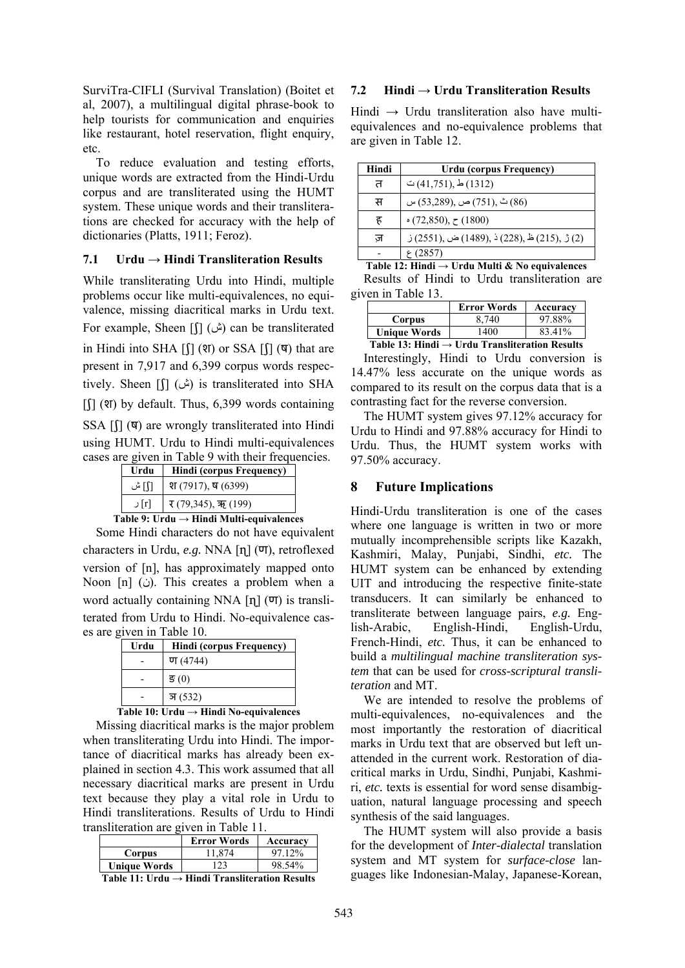SurviTra-CIFLI (Survival Translation) (Boitet et al, 2007), a multilingual digital phrase-book to help tourists for communication and enquiries like restaurant, hotel reservation, flight enquiry, etc.

To reduce evaluation and testing efforts, unique words are extracted from the Hindi-Urdu corpus and are transliterated using the HUMT system. These unique words and their transliterations are checked for accuracy with the help of dictionaries (Platts, 1911; Feroz).

## $7.1$  **Urdu**  $\rightarrow$  Hindi Transliteration Results

While transliterating Urdu into Hindi, multiple problems occur like multi-equivalences, no equivalence, missing diacritical marks in Urdu text. For example, Sheen [f] (ش) can be transliterated in Hindi into SHA  $\lceil \frac{1}{2} \rceil$  (श) or SSA  $\lceil \frac{1}{2} \rceil$  ( $\lceil \frac{1}{2} \rceil$ ) that are present in 7,917 and 6,399 corpus words respectively. Sheen [ $\int$ [] (ش) is transliterated into SHA  $\int$ [ $\int$ ] (श) by default. Thus, 6,399 words containing SSA [ʃ] (ष) are wrongly transliterated into Hindi using HUMT. Urdu to Hindi multi-equivalences cases are given in Table 9 with their frequencies.

| Urdu  | <b>Hindi (corpus Frequency)</b>  |  |
|-------|----------------------------------|--|
| ∏ آ ش | श (7917), ष (6399)               |  |
| rl] ر | $\mathfrak{r}(79,345)$ , ऋ (199) |  |

**Table 9: Urdu → Hindi Multi-equivalences**

Some Hindi characters do not have equivalent characters in Urdu, *e.g.* NNA [ɳ] (ण), retroflexed version of [n], has approximately mapped onto Noon [n] (i). This creates a problem when a word actually containing NNA  $\left[\eta\right]$  ( $\overline{v}$ ) is transliterated from Urdu to Hindi. No-equivalence cases are given in Table 10.

| Urdu | Hindi (corpus Frequency)     |  |
|------|------------------------------|--|
|      | ण $(4744)$                   |  |
|      | $\mathfrak{F}\left(0\right)$ |  |
|      | স $(532)$                    |  |

### **Table 10: Urdu → Hindi No-equivalences**

Missing diacritical marks is the major problem when transliterating Urdu into Hindi. The importance of diacritical marks has already been explained in section 4.3. This work assumed that all necessary diacritical marks are present in Urdu text because they play a vital role in Urdu to Hindi transliterations. Results of Urdu to Hindi transliteration are given in Table 11.

|                     | <b>Error Words</b> | Accuracy |  |
|---------------------|--------------------|----------|--|
| Corpus              | 11.874             | 97.12%   |  |
| <b>Unique Words</b> | 23                 | 98.54%   |  |
|                     | --                 |          |  |

**Table 11: Urdu → Hindi Transliteration Results**

### **7.2 Hindi → Urdu Transliteration Results**

Hindi  $\rightarrow$  Urdu transliteration also have multiequivalences and no-equivalence problems that are given in Table 12.

| Hindi | Urdu (corpus Frequency)                     |  |
|-------|---------------------------------------------|--|
| ਜ਼    | $(41,751)$ , $\pm$ (1312)                   |  |
| स     | (86) ٹ ,(751) ص ,(53,289) س                 |  |
| ह     | $(72,850), \tau(1800)$                      |  |
| ज     | (2) ڑ ,(215) ظ ,(228) ذ ,(1489) ض ,(2551) ز |  |
|       | (2857)                                      |  |

**Table 12: Hindi → Urdu Multi & No equivalences** Results of Hindi to Urdu transliteration are given in Table 13.

|                                                            | <b>Error Words</b> | Accuracy |  |  |
|------------------------------------------------------------|--------------------|----------|--|--|
| Corpus                                                     | 8.740              | 97.88%   |  |  |
| <b>Unique Words</b>                                        | 1400               | 83.41%   |  |  |
| Table 13: Hindi $\rightarrow$ Urdu Transliteration Results |                    |          |  |  |

Interestingly, Hindi to Urdu conversion is 14.47% less accurate on the unique words as compared to its result on the corpus data that is a contrasting fact for the reverse conversion.

The HUMT system gives 97.12% accuracy for Urdu to Hindi and 97.88% accuracy for Hindi to Urdu. Thus, the HUMT system works with 97.50% accuracy.

### **8 Future Implications**

Hindi-Urdu transliteration is one of the cases where one language is written in two or more mutually incomprehensible scripts like Kazakh, Kashmiri, Malay, Punjabi, Sindhi, *etc.* The HUMT system can be enhanced by extending UIT and introducing the respective finite-state transducers. It can similarly be enhanced to transliterate between language pairs, *e.g.* English-Arabic, English-Hindi, English-Urdu, French-Hindi, *etc.* Thus, it can be enhanced to build a *multilingual machine transliteration system* that can be used for *cross-scriptural transliteration* and MT.

We are intended to resolve the problems of multi-equivalences, no-equivalences and the most importantly the restoration of diacritical marks in Urdu text that are observed but left unattended in the current work. Restoration of diacritical marks in Urdu, Sindhi, Punjabi, Kashmiri, *etc.* texts is essential for word sense disambiguation, natural language processing and speech synthesis of the said languages.

The HUMT system will also provide a basis for the development of *Inter-dialectal* translation system and MT system for *surface-close* languages like Indonesian-Malay, Japanese-Korean,